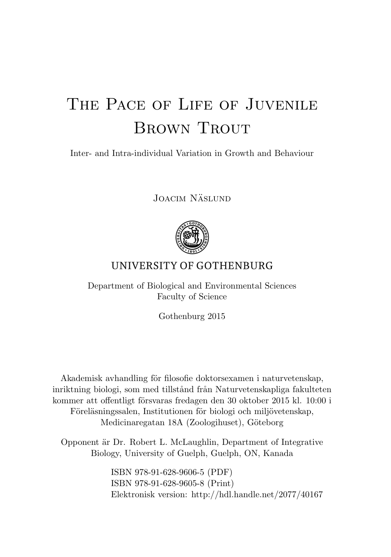## THE PACE OF LIFE OF JUVENILE BROWN TROUT

Inter- and Intra-individual Variation in Growth and Behaviour

JOACIM NÄSLUND



## UNIVERSITY OF GOTHENBURG

Department of Biological and Environmental Sciences Faculty of Science

Gothenburg 2015

Akademisk avhandling för filosofie doktorsexamen i naturvetenskap, inriktning biologi, som med tillstånd från Naturvetenskapliga fakulteten kommer att offentligt försvaras fredagen den 30 oktober 2015 kl. 10:00 i Föreläsningssalen, Institutionen för biologi och miljövetenskap, Medicinaregatan 18A (Zoologihuset), Göteborg

Opponent är Dr. Robert L. McLaughlin, Department of Integrative Biology, University of Guelph, Guelph, ON, Kanada

> ISBN 978-91-628-9606-5 (PDF) ISBN 978-91-628-9605-8 (Print) Elektronisk version: http://hdl.handle.net/2077/40167